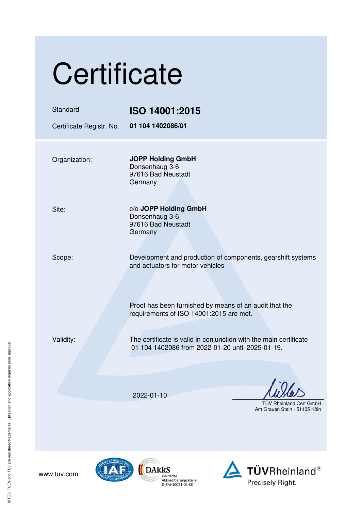| Certificate              |                                                                                                                       |  |  |
|--------------------------|-----------------------------------------------------------------------------------------------------------------------|--|--|
| Standard                 | ISO 14001:2015                                                                                                        |  |  |
| Certificate Registr. No. | 01 104 1402086/01                                                                                                     |  |  |
| Organization:            | <b>JOPP Holding GmbH</b><br>Donsenhaug 3-6<br>97616 Bad Neustadt<br>Germany                                           |  |  |
| Site:                    | c/o JOPP Holding GmbH<br>Donsenhaug 3-6<br>97616 Bad Neustadt<br>Germany                                              |  |  |
| Scope:                   | Development and production of components, gearshift systems<br>and actuators for motor vehicles                       |  |  |
|                          | Proof has been furnished by means of an audit that the<br>requirements of ISO 14001:2015 are met.                     |  |  |
| Validity:                | The certificate is valid in conjunction with the main certificate<br>01 104 1402086 from 2022-01-20 until 2025-01-19. |  |  |
|                          |                                                                                                                       |  |  |
|                          | 2022-01-10                                                                                                            |  |  |
|                          | <b>TUV Rheinland Cert GmbH</b><br>Am Grauen Stein · 51105 Köln                                                        |  |  |



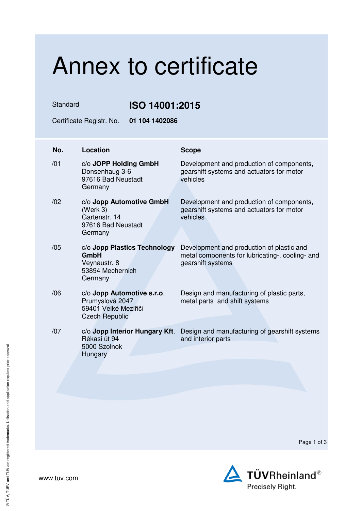## Annex to certificate

Standard **ISO 14001:2015** 

Certificate Registr. No. **01 104 1402086** 

| No. | Location                                                                                       | <b>Scope</b>                                                                                                      |
|-----|------------------------------------------------------------------------------------------------|-------------------------------------------------------------------------------------------------------------------|
| /01 | c/o JOPP Holding GmbH<br>Donsenhaug 3-6<br>97616 Bad Neustadt<br>Germany                       | Development and production of components,<br>gearshift systems and actuators for motor<br>vehicles                |
| /02 | c/o Jopp Automotive GmbH<br>(Werk 3)<br>Gartenstr, 14<br>97616 Bad Neustadt<br>Germany         | Development and production of components,<br>gearshift systems and actuators for motor<br>vehicles                |
| /05 | c/o Jopp Plastics Technology<br>GmbH<br>Veynaustr. 8<br>53894 Mechernich<br>Germany            | Development and production of plastic and<br>metal components for lubricating-, cooling- and<br>gearshift systems |
| /06 | c/o Jopp Automotive s.r.o.<br>Prumyslová 2047<br>59401 Velké Meziřičí<br><b>Czech Republic</b> | Design and manufacturing of plastic parts,<br>metal parts and shift systems                                       |
| /07 | c/o Jopp Interior Hungary Kft.<br>Rèkasi út 94<br>5000 Szolnok<br>Hungary                      | Design and manufacturing of gearshift systems<br>and interior parts                                               |

Page 1 of 3

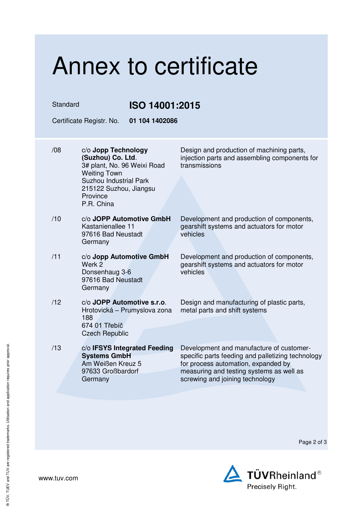# Annex to certificate

Standard **ISO 14001:2015** 

Certificate Registr. No. **01 104 1402086** 

- /08 c/o **Jopp Technology (Suzhou) Co. Ltd**. 3# plant, No. 96 Weixi Road Weiting Town Suzhou Industrial Park 215122 Suzhou, Jiangsu Province P.R. China
- /10 c/o **JOPP Automotive GmbH** Kastanienallee 11 97616 Bad Neustadt Germany
- /11 c/o **Jopp Automotive GmbH** Werk 2 Donsenhaug 3-6 97616 Bad Neustadt Germany
- /12 c/o **JOPP Automotive s.r.o**. Hrotovická – Prumyslova zona 188 674 01 Třebíč Czech Republic
- /13 c/o **IFSYS Integrated Feeding Systems GmbH** Am Weißen Kreuz 5 97633 Großbardorf **Germany**

Design and production of machining parts, injection parts and assembling components for transmissions

Development and production of components, gearshift systems and actuators for motor vehicles

Development and production of components, gearshift systems and actuators for motor vehicles

Design and manufacturing of plastic parts, metal parts and shift systems

Development and manufacture of customerspecific parts feeding and palletizing technology for process automation, expanded by measuring and testing systems as well as screwing and joining technology

Page 2 of 3